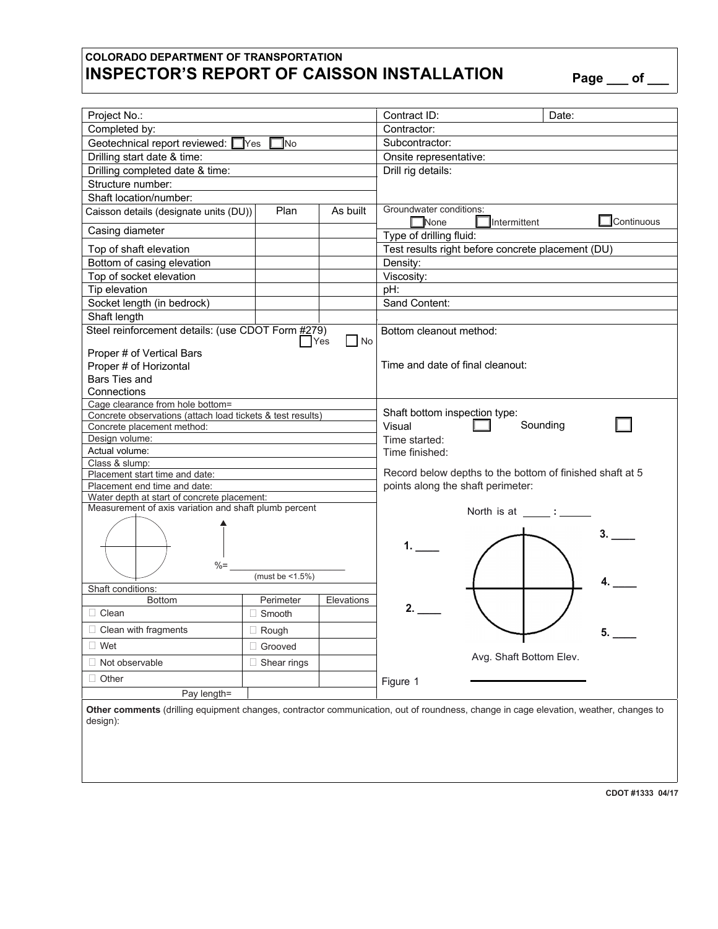## **COLORADO DEPARTMENT OF TRANSPORTATION INSPECTOR'S REPORT OF CAISSON INSTALLATION Page \_\_\_ of \_\_\_**

| I<br>I |  |
|--------|--|
|--------|--|

| Project No.:                                                                                                                                      |                         |            | Contract ID:<br>Date:                                                |  |  |  |
|---------------------------------------------------------------------------------------------------------------------------------------------------|-------------------------|------------|----------------------------------------------------------------------|--|--|--|
| Completed by:                                                                                                                                     |                         |            | Contractor:                                                          |  |  |  |
| Geotechnical report reviewed: Ves<br>TNo.                                                                                                         |                         |            | Subcontractor:                                                       |  |  |  |
| Drilling start date & time:                                                                                                                       |                         |            | Onsite representative:                                               |  |  |  |
| Drilling completed date & time:                                                                                                                   |                         |            | Drill rig details:                                                   |  |  |  |
| Structure number:                                                                                                                                 |                         |            |                                                                      |  |  |  |
| Shaft location/number:                                                                                                                            |                         |            |                                                                      |  |  |  |
| Caisson details (designate units (DU))                                                                                                            | Plan                    | As built   | Groundwater conditions:<br>Continuous<br>$\Box$ None<br>Intermittent |  |  |  |
| Casing diameter                                                                                                                                   |                         |            | Type of drilling fluid:                                              |  |  |  |
| Top of shaft elevation                                                                                                                            |                         |            | Test results right before concrete placement (DU)                    |  |  |  |
| Bottom of casing elevation                                                                                                                        |                         |            | Density:                                                             |  |  |  |
| Top of socket elevation                                                                                                                           |                         |            | Viscosity:                                                           |  |  |  |
| Tip elevation                                                                                                                                     |                         |            | pH:                                                                  |  |  |  |
| Socket length (in bedrock)                                                                                                                        |                         |            | Sand Content:                                                        |  |  |  |
| Shaft length                                                                                                                                      |                         |            |                                                                      |  |  |  |
| Steel reinforcement details: (use CDOT Form #279)<br>Yes<br>l No                                                                                  |                         |            | Bottom cleanout method:                                              |  |  |  |
| Proper # of Vertical Bars                                                                                                                         |                         |            |                                                                      |  |  |  |
| Proper # of Horizontal                                                                                                                            |                         |            | Time and date of final cleanout:                                     |  |  |  |
| Bars Ties and                                                                                                                                     |                         |            |                                                                      |  |  |  |
| Connections                                                                                                                                       |                         |            |                                                                      |  |  |  |
| Cage clearance from hole bottom=                                                                                                                  |                         |            |                                                                      |  |  |  |
| Concrete observations (attach load tickets & test results)                                                                                        |                         |            | Shaft bottom inspection type:                                        |  |  |  |
| Concrete placement method:                                                                                                                        |                         |            | Sounding<br>Visual                                                   |  |  |  |
| Design volume:                                                                                                                                    |                         |            | Time started:                                                        |  |  |  |
| Actual volume:                                                                                                                                    |                         |            | Time finished:                                                       |  |  |  |
| Class & slump:                                                                                                                                    |                         |            |                                                                      |  |  |  |
| Placement start time and date:                                                                                                                    |                         |            | Record below depths to the bottom of finished shaft at 5             |  |  |  |
| Placement end time and date:                                                                                                                      |                         |            | points along the shaft perimeter:                                    |  |  |  |
| Water depth at start of concrete placement:                                                                                                       |                         |            |                                                                      |  |  |  |
| Measurement of axis variation and shaft plumb percent                                                                                             |                         |            | North is at ______: ______<br>3.                                     |  |  |  |
| $\% =$                                                                                                                                            |                         |            |                                                                      |  |  |  |
| Shaft conditions:                                                                                                                                 | (must be $\leq 1.5\%$ ) |            | 4.                                                                   |  |  |  |
| <b>Bottom</b>                                                                                                                                     | Perimeter               | Elevations |                                                                      |  |  |  |
| $\Box$ Clean                                                                                                                                      | $\Box$ Smooth           |            | 2.                                                                   |  |  |  |
| $\Box$ Clean with fragments                                                                                                                       | $\Box$ Rough            |            | 5.                                                                   |  |  |  |
| $\Box$ Wet                                                                                                                                        | Grooved<br>П.           |            |                                                                      |  |  |  |
| Not observable                                                                                                                                    | Shear rings<br>Ш        |            | Avg. Shaft Bottom Elev.                                              |  |  |  |
| $\Box$ Other                                                                                                                                      |                         |            | Figure 1                                                             |  |  |  |
| Pay length=                                                                                                                                       |                         |            |                                                                      |  |  |  |
| Other comments (drilling equipment changes, contractor communication, out of roundness, change in cage elevation, weather, changes to<br>design): |                         |            |                                                                      |  |  |  |